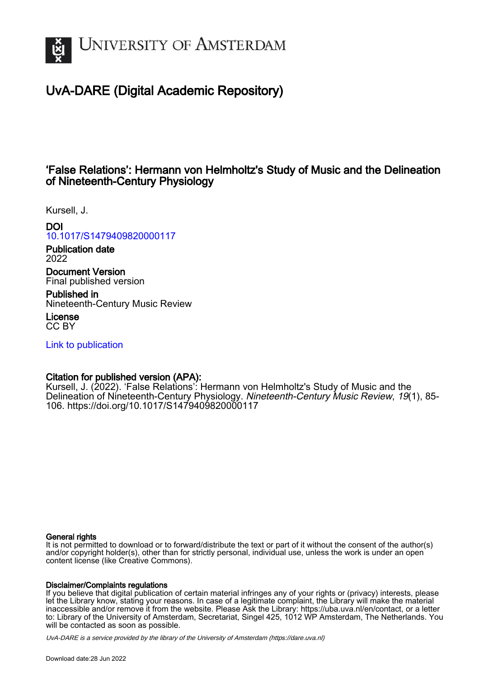

# UvA-DARE (Digital Academic Repository)

## 'False Relations': Hermann von Helmholtz's Study of Music and the Delineation of Nineteenth-Century Physiology

Kursell, J.

DOI

[10.1017/S1479409820000117](https://doi.org/10.1017/S1479409820000117)

Publication date 2022

Document Version Final published version

Published in Nineteenth-Century Music Review

License CC BY

[Link to publication](https://dare.uva.nl/personal/pure/en/publications/false-relations-hermann-von-helmholtzs-study-of-music-and-the-delineation-of-nineteenthcentury-physiology(63f4ae42-34d4-4efd-903c-3a65c5492675).html)

## Citation for published version (APA):

Kursell, J. (2022). 'False Relations': Hermann von Helmholtz's Study of Music and the Delineation of Nineteenth-Century Physiology. Nineteenth-Century Music Review, 19(1), 85-106. <https://doi.org/10.1017/S1479409820000117>

### General rights

It is not permitted to download or to forward/distribute the text or part of it without the consent of the author(s) and/or copyright holder(s), other than for strictly personal, individual use, unless the work is under an open content license (like Creative Commons).

### Disclaimer/Complaints regulations

If you believe that digital publication of certain material infringes any of your rights or (privacy) interests, please let the Library know, stating your reasons. In case of a legitimate complaint, the Library will make the material inaccessible and/or remove it from the website. Please Ask the Library: https://uba.uva.nl/en/contact, or a letter to: Library of the University of Amsterdam, Secretariat, Singel 425, 1012 WP Amsterdam, The Netherlands. You will be contacted as soon as possible.

UvA-DARE is a service provided by the library of the University of Amsterdam (http*s*://dare.uva.nl)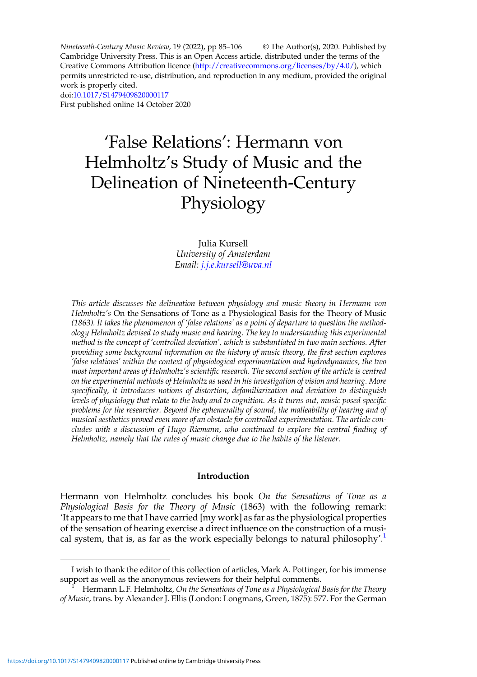Nineteenth-Century Music Review, 19 (2022), pp 85–106 © The Author(s), 2020. Published by Cambridge University Press. This is an Open Access article, distributed under the terms of the Creative Commons Attribution licence (<http://creativecommons.org/licenses/by/4.0/>), which permits unrestricted re-use, distribution, and reproduction in any medium, provided the original work is properly cited. doi:[10.1017/S1479409820000117](https://doi.org/10.1017/S1479409820000117) First published online 14 October 2020

# 'False Relations': Hermann von Helmholtz's Study of Music and the Delineation of Nineteenth-Century Physiology

Julia Kursell University of Amsterdam Email: [j.j.e.kursell@uva.nl](mailto:j.j.e.kursell@uva.nl)

This article discusses the delineation between physiology and music theory in Hermann von Helmholtz's On the Sensations of Tone as a Physiological Basis for the Theory of Music (1863). It takes the phenomenon of 'false relations' as a point of departure to question the methodology Helmholtz devised to study music and hearing. The key to understanding this experimental method is the concept of 'controlled deviation', which is substantiated in two main sections. After providing some background information on the history of music theory, the first section explores 'false relations' within the context of physiological experimentation and hydrodynamics, the two most important areas of Helmholtz's scientific research. The second section of the article is centred on the experimental methods of Helmholtz as used in his investigation of vision and hearing. More specifically, it introduces notions of distortion, defamiliarization and deviation to distinguish levels of physiology that relate to the body and to cognition. As it turns out, music posed specific problems for the researcher. Beyond the ephemerality of sound, the malleability of hearing and of musical aesthetics proved even more of an obstacle for controlled experimentation. The article concludes with a discussion of Hugo Riemann, who continued to explore the central finding of Helmholtz, namely that the rules of music change due to the habits of the listener.

#### Introduction

Hermann von Helmholtz concludes his book On the Sensations of Tone as a Physiological Basis for the Theory of Music (1863) with the following remark: 'It appears to me that I have carried [my work] as far as the physiological properties of the sensation of hearing exercise a direct influence on the construction of a musical system, that is, as far as the work especially belongs to natural philosophy'.<sup>1</sup>

I wish to thank the editor of this collection of articles, Mark A. Pottinger, for his immense

Hermann L.F. Helmholtz, On the Sensations of Tone as a Physiological Basis for the Theory of Music, trans. by Alexander J. Ellis (London: Longmans, Green, 1875): 577. For the German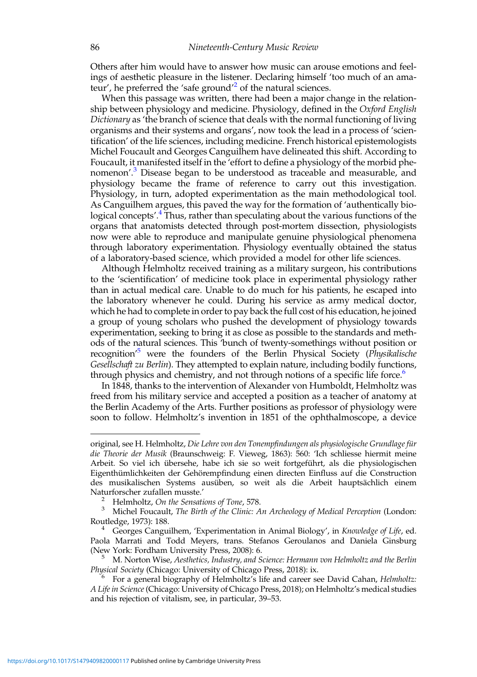Others after him would have to answer how music can arouse emotions and feelings of aesthetic pleasure in the listener. Declaring himself 'too much of an amateur', he preferred the 'safe ground'<sup>2</sup> of the natural sciences.

When this passage was written, there had been a major change in the relationship between physiology and medicine. Physiology, defined in the Oxford English Dictionary as 'the branch of science that deals with the normal functioning of living organisms and their systems and organs', now took the lead in a process of 'scientification' of the life sciences, including medicine. French historical epistemologists Michel Foucault and Georges Canguilhem have delineated this shift. According to Foucault, it manifested itself in the 'effort to define a physiology of the morbid phenomenon'.<sup>3</sup> Disease began to be understood as traceable and measurable, and physiology became the frame of reference to carry out this investigation. Physiology, in turn, adopted experimentation as the main methodological tool. As Canguilhem argues, this paved the way for the formation of 'authentically biological concepts'.<sup>4</sup> Thus, rather than speculating about the various functions of the organs that anatomists detected through post-mortem dissection, physiologists now were able to reproduce and manipulate genuine physiological phenomena through laboratory experimentation. Physiology eventually obtained the status of a laboratory-based science, which provided a model for other life sciences.

Although Helmholtz received training as a military surgeon, his contributions to the 'scientification' of medicine took place in experimental physiology rather than in actual medical care. Unable to do much for his patients, he escaped into the laboratory whenever he could. During his service as army medical doctor, which he had to complete in order to pay back the full cost of his education, he joined a group of young scholars who pushed the development of physiology towards experimentation, seeking to bring it as close as possible to the standards and methods of the natural sciences. This 'bunch of twenty-somethings without position or recognition<sup>15</sup> were the founders of the Berlin Physical Society (Physikalische Gesellschaft zu Berlin). They attempted to explain nature, including bodily functions, through physics and chemistry, and not through notions of a specific life force.<sup>6</sup>

In 1848, thanks to the intervention of Alexander von Humboldt, Helmholtz was freed from his military service and accepted a position as a teacher of anatomy at the Berlin Academy of the Arts. Further positions as professor of physiology were soon to follow. Helmholtz's invention in 1851 of the ophthalmoscope, a device

original, see H. Helmholtz, Die Lehre von den Tonempfindungen als physiologische Grundlage für die Theorie der Musik (Braunschweig: F. Vieweg, 1863): 560: 'Ich schliesse hiermit meine Arbeit. So viel ich übersehe, habe ich sie so weit fortgeführt, als die physiologischen Eigenthümlichkeiten der Gehörempfindung einen directen Einfluss auf die Construction des musikalischen Systems ausüben, so weit als die Arbeit hauptsächlich einem

<sup>&</sup>lt;sup>2</sup> Helmholtz, On the Sensations of Tone, 578.<br><sup>3</sup> Michel Foucault, The Birth of the Clinic: An Archeology of Medical Perception (London: Routledge, 1973): 188.

<sup>&</sup>lt;sup>4</sup> Georges Canguilhem, 'Experimentation in Animal Biology', in Knowledge of Life, ed. Paola Marrati and Todd Meyers, trans. Stefanos Geroulanos and Daniela Ginsburg<br>(New York: Fordham University Press, 2008): 6.

M. Norton Wise, Aesthetics, Industry, and Science: Hermann von Helmholtz and the Berlin Physical Society (Chicago: University of Chicago Press, 2018): ix.<br><sup>6</sup> For a general biography of Helmholtz's life and career see David Cahan, *Helmholtz:* 

A Life in Science(Chicago: University of Chicago Press, 2018); on Helmholtz's medical studies and his rejection of vitalism, see, in particular, 39–53.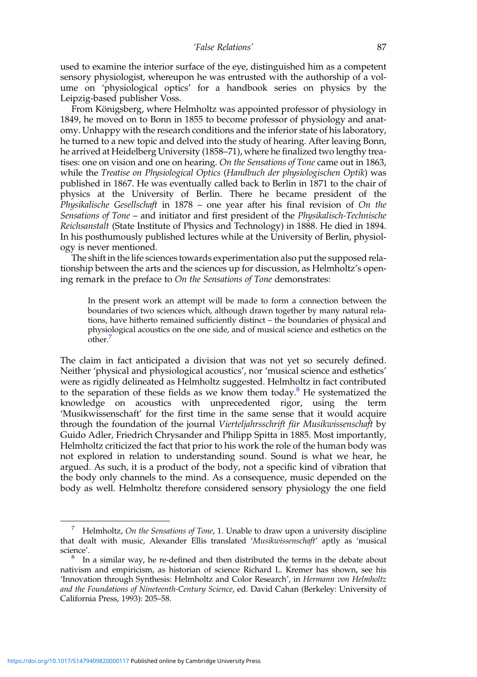used to examine the interior surface of the eye, distinguished him as a competent sensory physiologist, whereupon he was entrusted with the authorship of a volume on 'physiological optics' for a handbook series on physics by the Leipzig-based publisher Voss.

From Königsberg, where Helmholtz was appointed professor of physiology in 1849, he moved on to Bonn in 1855 to become professor of physiology and anatomy. Unhappy with the research conditions and the inferior state of his laboratory, he turned to a new topic and delved into the study of hearing. After leaving Bonn, he arrived at Heidelberg University (1858–71), where he finalized two lengthy treatises: one on vision and one on hearing. On the Sensations of Tone came out in 1863, while the Treatise on Physiological Optics (Handbuch der physiologischen Optik) was published in 1867. He was eventually called back to Berlin in 1871 to the chair of physics at the University of Berlin. There he became president of the Physikalische Gesellschaft in 1878 – one year after his final revision of On the Sensations of Tone – and initiator and first president of the Physikalisch-Technische Reichsanstalt (State Institute of Physics and Technology) in 1888. He died in 1894. In his posthumously published lectures while at the University of Berlin, physiology is never mentioned.

The shift in the life sciences towards experimentation also put the supposed relationship between the arts and the sciences up for discussion, as Helmholtz's opening remark in the preface to On the Sensations of Tone demonstrates:

In the present work an attempt will be made to form a connection between the boundaries of two sciences which, although drawn together by many natural relations, have hitherto remained sufficiently distinct – the boundaries of physical and physiological acoustics on the one side, and of musical science and esthetics on the other.<sup>7</sup>

The claim in fact anticipated a division that was not yet so securely defined. Neither 'physical and physiological acoustics', nor 'musical science and esthetics' were as rigidly delineated as Helmholtz suggested. Helmholtz in fact contributed to the separation of these fields as we know them today.<sup>8</sup> He systematized the knowledge on acoustics with unprecedented rigor, using the term 'Musikwissenschaft' for the first time in the same sense that it would acquire through the foundation of the journal Vierteljahrsschrift für Musikwissenschaft by Guido Adler, Friedrich Chrysander and Philipp Spitta in 1885. Most importantly, Helmholtz criticized the fact that prior to his work the role of the human body was not explored in relation to understanding sound. Sound is what we hear, he argued. As such, it is a product of the body, not a specific kind of vibration that the body only channels to the mind. As a consequence, music depended on the body as well. Helmholtz therefore considered sensory physiology the one field

Helmholtz, On the Sensations of Tone, 1. Unable to draw upon a university discipline that dealt with music, Alexander Ellis translated 'Musikwissenschaft' aptly as 'musical science'.

 $8$  In a similar way, he re-defined and then distributed the terms in the debate about nativism and empiricism, as historian of science Richard L. Kremer has shown, see his 'Innovation through Synthesis: Helmholtz and Color Research', in Hermann von Helmholtz and the Foundations of Nineteenth-Century Science, ed. David Cahan (Berkeley: University of California Press, 1993): 205–58.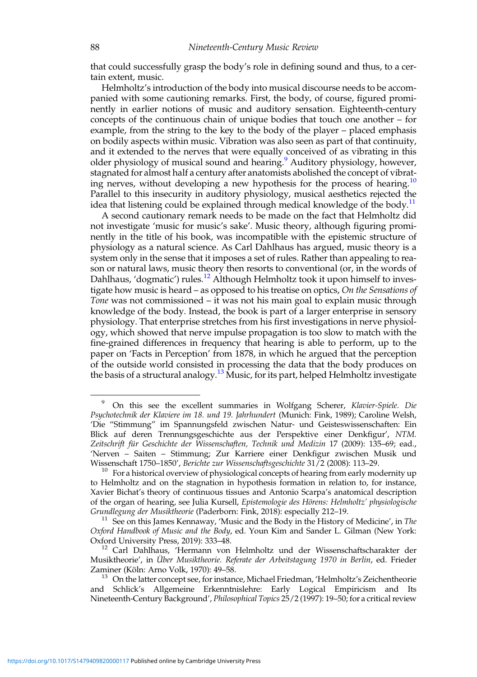that could successfully grasp the body's role in defining sound and thus, to a certain extent, music.

Helmholtz's introduction of the body into musical discourse needs to be accompanied with some cautioning remarks. First, the body, of course, figured prominently in earlier notions of music and auditory sensation. Eighteenth-century concepts of the continuous chain of unique bodies that touch one another – for example, from the string to the key to the body of the player – placed emphasis on bodily aspects within music. Vibration was also seen as part of that continuity, and it extended to the nerves that were equally conceived of as vibrating in this older physiology of musical sound and hearing.<sup>9</sup> Auditory physiology, however, stagnated for almost half a century after anatomists abolished the concept of vibrating nerves, without developing a new hypothesis for the process of hearing.<sup>10</sup> Parallel to this insecurity in auditory physiology, musical aesthetics rejected the idea that listening could be explained through medical knowledge of the body.<sup>11</sup>

A second cautionary remark needs to be made on the fact that Helmholtz did not investigate 'music for music's sake'. Music theory, although figuring prominently in the title of his book, was incompatible with the epistemic structure of physiology as a natural science. As Carl Dahlhaus has argued, music theory is a system only in the sense that it imposes a set of rules. Rather than appealing to reason or natural laws, music theory then resorts to conventional (or, in the words of Dahlhaus, 'dogmatic') rules.<sup>12</sup> Although Helmholtz took it upon himself to investigate how music is heard – as opposed to his treatise on optics, On the Sensations of Tone was not commissioned – it was not his main goal to explain music through knowledge of the body. Instead, the book is part of a larger enterprise in sensory physiology. That enterprise stretches from his first investigations in nerve physiology, which showed that nerve impulse propagation is too slow to match with the fine-grained differences in frequency that hearing is able to perform, up to the paper on 'Facts in Perception' from 1878, in which he argued that the perception of the outside world consisted in processing the data that the body produces on the basis of a structural analogy.<sup>13</sup> Music, for its part, helped Helmholtz investigate

<sup>9</sup> On this see the excellent summaries in Wolfgang Scherer, Klavier-Spiele. Die Psychotechnik der Klaviere im 18. und 19. Jahrhundert (Munich: Fink, 1989); Caroline Welsh, 'Die "Stimmung" im Spannungsfeld zwischen Natur- und Geisteswissenschaften: Ein Blick auf deren Trennungsgeschichte aus der Perspektive einer Denkfigur', NTM. Zeitschrift für Geschichte der Wissenschaften, Technik und Medizin 17 (2009): 135–69; ead., 'Nerven – Saiten – Stimmung; Zur Karriere einer Denkfigur zwischen Musik und<br>Wissenschaft 1750–1850', Berichte zur Wissenschaftsgeschichte 31/2 (2008): 113–29.

 $10$  For a historical overview of physiological concepts of hearing from early modernity up to Helmholtz and on the stagnation in hypothesis formation in relation to, for instance, Xavier Bichat's theory of continuous tissues and Antonio Scarpa's anatomical description of the organ of hearing, see Julia Kursell, Epistemologie des Hörens: Helmholtz' physiologische Grundlegung der Musiktheorie (Paderborn: Fink, 2018): especially 212–19.<br><sup>11</sup> See on this James Kennaway, 'Music and the Body in the History of Medicine', in The

Oxford Handbook of Music and the Body, ed. Youn Kim and Sander L. Gilman (New York:

Oxford University Press, 2019): 333–48.<br><sup>12</sup> Carl Dahlhaus, 'Hermann von Helmholtz und der Wissenschaftscharakter der Musiktheorie', in Über Musiktheorie. Referate der Arbeitstagung 1970 in Berlin, ed. Frieder Zaminer (Köln: Arno Volk, 1970): 49–58.<br><sup>13</sup> On the latter concept see, for instance, Michael Friedman, 'Helmholtz's Zeichentheorie

and Schlick's Allgemeine Erkenntnislehre: Early Logical Empiricism and Its Nineteenth-Century Background', Philosophical Topics 25/2 (1997): 19–50; for a critical review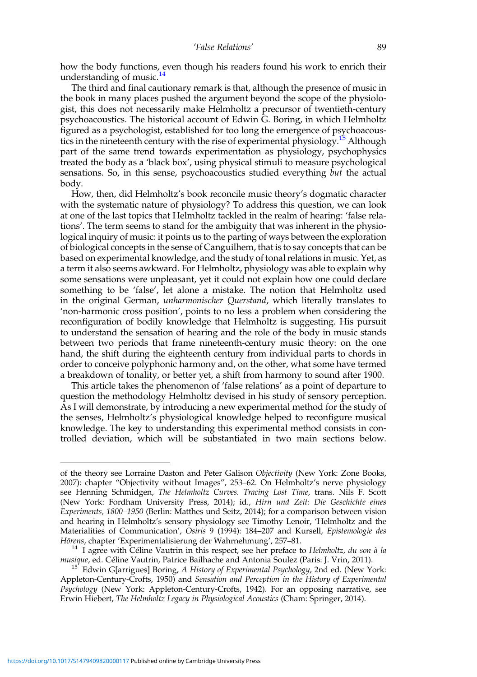how the body functions, even though his readers found his work to enrich their understanding of music.<sup>14</sup>

The third and final cautionary remark is that, although the presence of music in the book in many places pushed the argument beyond the scope of the physiologist, this does not necessarily make Helmholtz a precursor of twentieth-century psychoacoustics. The historical account of Edwin G. Boring, in which Helmholtz figured as a psychologist, established for too long the emergence of psychoacoustics in the nineteenth century with the rise of experimental physiology.<sup>15</sup> Although part of the same trend towards experimentation as physiology, psychophysics treated the body as a 'black box', using physical stimuli to measure psychological sensations. So, in this sense, psychoacoustics studied everything but the actual body.

How, then, did Helmholtz's book reconcile music theory's dogmatic character with the systematic nature of physiology? To address this question, we can look at one of the last topics that Helmholtz tackled in the realm of hearing: 'false relations'. The term seems to stand for the ambiguity that was inherent in the physiological inquiry of music: it points us to the parting of ways between the exploration of biological concepts in the sense of Canguilhem, that is to say concepts that can be based on experimental knowledge, and the study of tonal relations in music. Yet, as a term it also seems awkward. For Helmholtz, physiology was able to explain why some sensations were unpleasant, yet it could not explain how one could declare something to be 'false', let alone a mistake. The notion that Helmholtz used in the original German, unharmonischer Querstand, which literally translates to 'non-harmonic cross position', points to no less a problem when considering the reconfiguration of bodily knowledge that Helmholtz is suggesting. His pursuit to understand the sensation of hearing and the role of the body in music stands between two periods that frame nineteenth-century music theory: on the one hand, the shift during the eighteenth century from individual parts to chords in order to conceive polyphonic harmony and, on the other, what some have termed a breakdown of tonality, or better yet, a shift from harmony to sound after 1900.

This article takes the phenomenon of 'false relations' as a point of departure to question the methodology Helmholtz devised in his study of sensory perception. As I will demonstrate, by introducing a new experimental method for the study of the senses, Helmholtz's physiological knowledge helped to reconfigure musical knowledge. The key to understanding this experimental method consists in controlled deviation, which will be substantiated in two main sections below.

of the theory see Lorraine Daston and Peter Galison Objectivity (New York: Zone Books, 2007): chapter "Objectivity without Images", 253–62. On Helmholtz's nerve physiology see Henning Schmidgen, The Helmholtz Curves. Tracing Lost Time, trans. Nils F. Scott (New York: Fordham University Press, 2014); id., Hirn und Zeit: Die Geschichte eines Experiments, 1800–1950 (Berlin: Matthes und Seitz, 2014); for a comparison between vision and hearing in Helmholtz's sensory physiology see Timothy Lenoir, 'Helmholtz and the Materialities of Communication', Osiris 9 (1994): 184–207 and Kursell, Epistemologie des

Hörens, chapter 'Experimentalisierung der Wahrnehmung', 257–81.<br><sup>14</sup> I agree with Céline Vautrin in this respect, see her preface to *Helmholtz, du son à la*<br>*musique*, ed. Céline Vautrin, Patrice Bailhache and Antonia Sou

<sup>&</sup>lt;sup>15</sup> Edwin G[arrigues] Boring, A History of Experimental Psychology, 2nd ed. (New York: Appleton-Century-Crofts, 1950) and Sensation and Perception in the History of Experimental Psychology (New York: Appleton-Century-Crofts, 1942). For an opposing narrative, see Erwin Hiebert, The Helmholtz Legacy in Physiological Acoustics (Cham: Springer, 2014).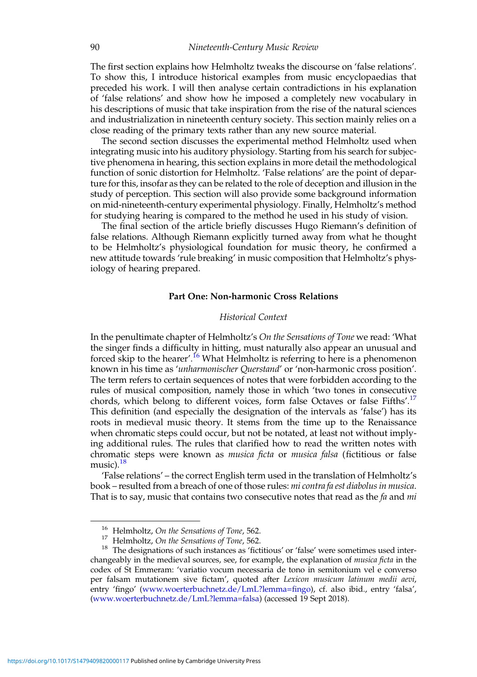The first section explains how Helmholtz tweaks the discourse on 'false relations'. To show this, I introduce historical examples from music encyclopaedias that preceded his work. I will then analyse certain contradictions in his explanation of 'false relations' and show how he imposed a completely new vocabulary in his descriptions of music that take inspiration from the rise of the natural sciences and industrialization in nineteenth century society. This section mainly relies on a close reading of the primary texts rather than any new source material.

The second section discusses the experimental method Helmholtz used when integrating music into his auditory physiology. Starting from his search for subjective phenomena in hearing, this section explains in more detail the methodological function of sonic distortion for Helmholtz. 'False relations' are the point of departure for this, insofar as they can be related to the role of deception and illusion in the study of perception. This section will also provide some background information on mid-nineteenth-century experimental physiology. Finally, Helmholtz's method for studying hearing is compared to the method he used in his study of vision.

The final section of the article briefly discusses Hugo Riemann's definition of false relations. Although Riemann explicitly turned away from what he thought to be Helmholtz's physiological foundation for music theory, he confirmed a new attitude towards 'rule breaking' in music composition that Helmholtz's physiology of hearing prepared.

#### Part One: Non-harmonic Cross Relations

#### Historical Context

In the penultimate chapter of Helmholtz's On the Sensations of Tone we read: 'What the singer finds a difficulty in hitting, must naturally also appear an unusual and forced skip to the hearer'.<sup>16</sup> What Helmholtz is referring to here is a phenomenon known in his time as 'unharmonischer Querstand' or 'non-harmonic cross position'. The term refers to certain sequences of notes that were forbidden according to the rules of musical composition, namely those in which 'two tones in consecutive chords, which belong to different voices, form false Octaves or false Fifths'.<sup>17</sup> This definition (and especially the designation of the intervals as 'false') has its roots in medieval music theory. It stems from the time up to the Renaissance when chromatic steps could occur, but not be notated, at least not without implying additional rules. The rules that clarified how to read the written notes with chromatic steps were known as musica ficta or musica falsa (fictitious or false music). $18$ 

'False relations' – the correct English term used in the translation of Helmholtz's book – resulted from a breach of one of those rules: *mi contra fa est diabolus in musica*. That is to say, music that contains two consecutive notes that read as the  $fa$  and  $mi$ 

<sup>&</sup>lt;sup>16</sup> Helmholtz, *On the Sensations of Tone*, 562.<br><sup>17</sup> Helmholtz, *On the Sensations of Tone*, 562.<br><sup>18</sup> The designations of such instances as 'fictitious' or 'false' were sometimes used interchangeably in the medieval sources, see, for example, the explanation of *musica ficta* in the codex of St Emmeram: 'variatio vocum necessaria de tono in semitonium vel e converso per falsam mutationem sive fictam', quoted after Lexicon musicum latinum medii aevi, entry 'fingo' [\(www.woerterbuchnetz.de/LmL?lemma=](https://www.woerterbuchnetz.de/LmL?lemma=fingo)fingo), cf. also ibid., entry 'falsa', [\(www.woerterbuchnetz.de/LmL?lemma=falsa](https://www.woerterbuchnetz.de/LmL?lemma=falsa)) (accessed 19 Sept 2018).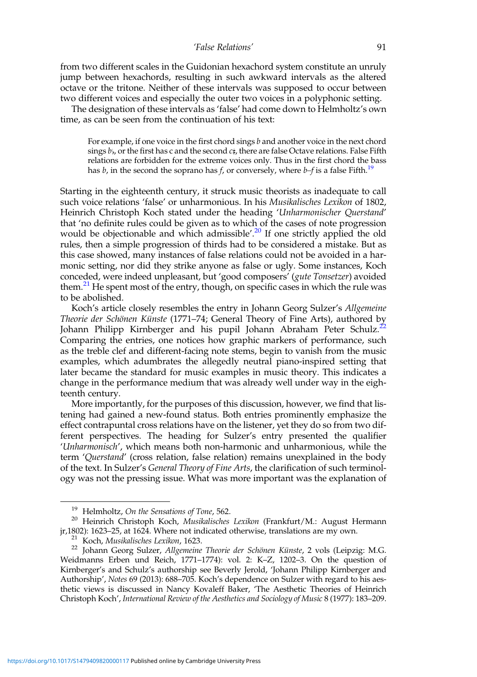from two different scales in the Guidonian hexachord system constitute an unruly jump between hexachords, resulting in such awkward intervals as the altered octave or the tritone. Neither of these intervals was supposed to occur between two different voices and especially the outer two voices in a polyphonic setting.

The designation of these intervals as 'false' had come down to Helmholtz's own time, as can be seen from the continuation of his text:

For example, if one voice in the first chord sings  $b$  and another voice in the next chord sings  $b<sub>b</sub>$ , or the first has c and the second  $c<sub>\#</sub>$ , there are false Octave relations. False Fifth relations are forbidden for the extreme voices only. Thus in the first chord the bass has b, in the second the soprano has f, or conversely, where  $b-f$  is a false Fifth.<sup>19</sup>

Starting in the eighteenth century, it struck music theorists as inadequate to call such voice relations 'false' or unharmonious. In his Musikalisches Lexikon of 1802, Heinrich Christoph Koch stated under the heading 'Unharmonischer Querstand' that 'no definite rules could be given as to which of the cases of note progression would be objectionable and which admissible'.<sup>20</sup> If one strictly applied the old rules, then a simple progression of thirds had to be considered a mistake. But as this case showed, many instances of false relations could not be avoided in a harmonic setting, nor did they strike anyone as false or ugly. Some instances, Koch conceded, were indeed unpleasant, but 'good composers' (gute Tonsetzer) avoided them.<sup>21</sup> He spent most of the entry, though, on specific cases in which the rule was to be abolished.

Koch's article closely resembles the entry in Johann Georg Sulzer's Allgemeine Theorie der Schönen Künste (1771–74; General Theory of Fine Arts), authored by Johann Philipp Kirnberger and his pupil Johann Abraham Peter Schulz.<sup>22</sup> Comparing the entries, one notices how graphic markers of performance, such as the treble clef and different-facing note stems, begin to vanish from the music examples, which adumbrates the allegedly neutral piano-inspired setting that later became the standard for music examples in music theory. This indicates a change in the performance medium that was already well under way in the eighteenth century.

More importantly, for the purposes of this discussion, however, we find that listening had gained a new-found status. Both entries prominently emphasize the effect contrapuntal cross relations have on the listener, yet they do so from two different perspectives. The heading for Sulzer's entry presented the qualifier 'Unharmonisch', which means both non-harmonic and unharmonious, while the term 'Querstand' (cross relation, false relation) remains unexplained in the body of the text. In Sulzer's General Theory of Fine Arts, the clarification of such terminology was not the pressing issue. What was more important was the explanation of

<sup>&</sup>lt;sup>19</sup> Helmholtz, *On the Sensations of Tone*, 562.<br><sup>20</sup> Heinrich Christoph Koch, *Musikalisches Lexikon* (Frankfurt/M.: August Hermann jr,1802): 1623–25, at 1624. Where not indicated otherwise, translations are my own.

<sup>&</sup>lt;sup>21</sup> Koch, Musikalisches Lexikon, 1623.<br><sup>22</sup> Johann Georg Sulzer, Allgemeine Theorie der Schönen Künste, 2 vols (Leipzig: M.G. Weidmanns Erben und Reich, 1771–1774): vol. 2: K–Z, 1202–3. On the question of Kirnberger's and Schulz's authorship see Beverly Jerold, 'Johann Philipp Kirnberger and Authorship', Notes 69 (2013): 688–705. Koch's dependence on Sulzer with regard to his aesthetic views is discussed in Nancy Kovaleff Baker, 'The Aesthetic Theories of Heinrich Christoph Koch', International Review of the Aesthetics and Sociology of Music 8 (1977): 183–209.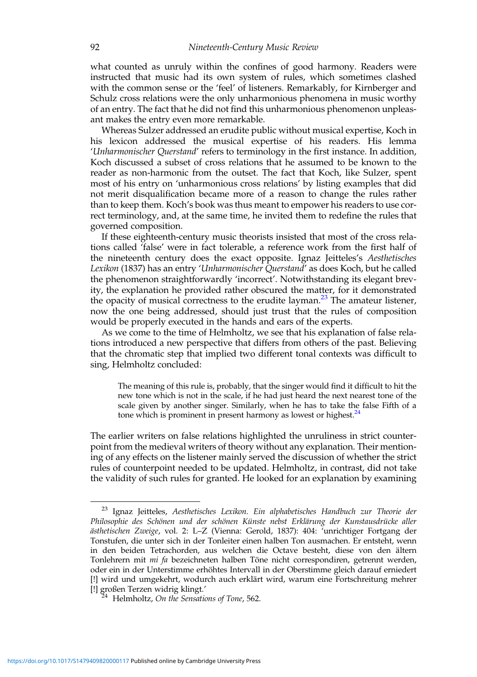what counted as unruly within the confines of good harmony. Readers were instructed that music had its own system of rules, which sometimes clashed with the common sense or the 'feel' of listeners. Remarkably, for Kirnberger and Schulz cross relations were the only unharmonious phenomena in music worthy of an entry. The fact that he did not find this unharmonious phenomenon unpleasant makes the entry even more remarkable.

Whereas Sulzer addressed an erudite public without musical expertise, Koch in his lexicon addressed the musical expertise of his readers. His lemma 'Unharmonischer Querstand' refers to terminology in the first instance. In addition, Koch discussed a subset of cross relations that he assumed to be known to the reader as non-harmonic from the outset. The fact that Koch, like Sulzer, spent most of his entry on 'unharmonious cross relations' by listing examples that did not merit disqualification became more of a reason to change the rules rather than to keep them. Koch's book was thus meant to empower his readers to use correct terminology, and, at the same time, he invited them to redefine the rules that governed composition.

If these eighteenth-century music theorists insisted that most of the cross relations called 'false' were in fact tolerable, a reference work from the first half of the nineteenth century does the exact opposite. Ignaz Jeitteles's Aesthetisches Lexikon (1837) has an entry 'Unharmonischer Querstand' as does Koch, but he called the phenomenon straightforwardly 'incorrect'. Notwithstanding its elegant brevity, the explanation he provided rather obscured the matter, for it demonstrated the opacity of musical correctness to the erudite layman.<sup>23</sup> The amateur listener, now the one being addressed, should just trust that the rules of composition would be properly executed in the hands and ears of the experts.

As we come to the time of Helmholtz, we see that his explanation of false relations introduced a new perspective that differs from others of the past. Believing that the chromatic step that implied two different tonal contexts was difficult to sing, Helmholtz concluded:

The meaning of this rule is, probably, that the singer would find it difficult to hit the new tone which is not in the scale, if he had just heard the next nearest tone of the scale given by another singer. Similarly, when he has to take the false Fifth of a tone which is prominent in present harmony as lowest or highest.<sup>24</sup>

The earlier writers on false relations highlighted the unruliness in strict counterpoint from the medieval writers of theory without any explanation. Their mentioning of any effects on the listener mainly served the discussion of whether the strict rules of counterpoint needed to be updated. Helmholtz, in contrast, did not take the validity of such rules for granted. He looked for an explanation by examining

<sup>&</sup>lt;sup>23</sup> Ignaz Jeitteles, Aesthetisches Lexikon. Ein alphabetisches Handbuch zur Theorie der Philosophie des Schönen und der schönen Künste nebst Erklärung der Kunstausdrücke aller ästhetischen Zweige, vol. 2: L–Z (Vienna: Gerold, 1837): 404: 'unrichtiger Fortgang der Tonstufen, die unter sich in der Tonleiter einen halben Ton ausmachen. Er entsteht, wenn in den beiden Tetrachorden, aus welchen die Octave besteht, diese von den ältern Tonlehrern mit mi fa bezeichneten halben Töne nicht correspondiren, getrennt werden, oder ein in der Unterstimme erhöhtes Intervall in der Oberstimme gleich darauf erniedert [!] wird und umgekehrt, wodurch auch erklärt wird, warum eine Fortschreitung mehrer [!] großen Terzen widrig klingt.

 $14$  Helmholtz, On the Sensations of Tone, 562.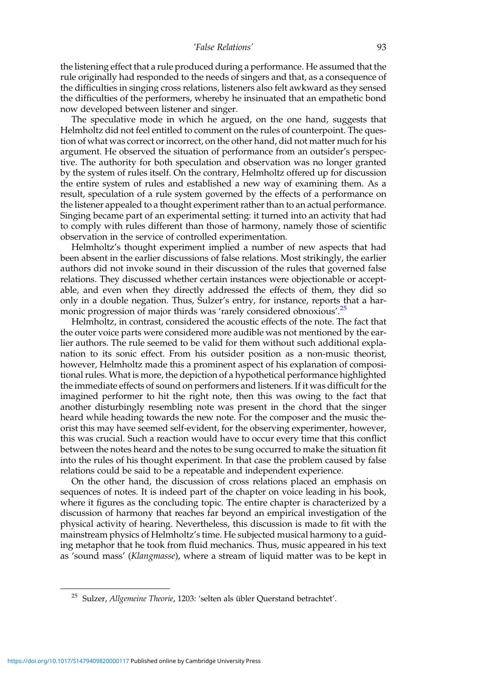the listening effect that a rule produced during a performance. He assumed that the rule originally had responded to the needs of singers and that, as a consequence of the difficulties in singing cross relations, listeners also felt awkward as they sensed the difficulties of the performers, whereby he insinuated that an empathetic bond now developed between listener and singer.

The speculative mode in which he argued, on the one hand, suggests that Helmholtz did not feel entitled to comment on the rules of counterpoint. The question of what was correct or incorrect, on the other hand, did not matter much for his argument. He observed the situation of performance from an outsider's perspective. The authority for both speculation and observation was no longer granted by the system of rules itself. On the contrary, Helmholtz offered up for discussion the entire system of rules and established a new way of examining them. As a result, speculation of a rule system governed by the effects of a performance on the listener appealed to a thought experiment rather than to an actual performance. Singing became part of an experimental setting: it turned into an activity that had to comply with rules different than those of harmony, namely those of scientific observation in the service of controlled experimentation.

Helmholtz's thought experiment implied a number of new aspects that had been absent in the earlier discussions of false relations. Most strikingly, the earlier authors did not invoke sound in their discussion of the rules that governed false relations. They discussed whether certain instances were objectionable or acceptable, and even when they directly addressed the effects of them, they did so only in a double negation. Thus, Sulzer's entry, for instance, reports that a harmonic progression of major thirds was 'rarely considered obnoxious'.<sup>25</sup>

Helmholtz, in contrast, considered the acoustic effects of the note. The fact that the outer voice parts were considered more audible was not mentioned by the earlier authors. The rule seemed to be valid for them without such additional explanation to its sonic effect. From his outsider position as a non-music theorist, however, Helmholtz made this a prominent aspect of his explanation of compositional rules. What is more, the depiction of a hypothetical performance highlighted the immediate effects of sound on performers and listeners. If it was difficult for the imagined performer to hit the right note, then this was owing to the fact that another disturbingly resembling note was present in the chord that the singer heard while heading towards the new note. For the composer and the music theorist this may have seemed self-evident, for the observing experimenter, however, this was crucial. Such a reaction would have to occur every time that this conflict between the notes heard and the notes to be sung occurred to make the situation fit into the rules of his thought experiment. In that case the problem caused by false relations could be said to be a repeatable and independent experience.

On the other hand, the discussion of cross relations placed an emphasis on sequences of notes. It is indeed part of the chapter on voice leading in his book, where it figures as the concluding topic. The entire chapter is characterized by a discussion of harmony that reaches far beyond an empirical investigation of the physical activity of hearing. Nevertheless, this discussion is made to fit with the mainstream physics of Helmholtz's time. He subjected musical harmony to a guiding metaphor that he took from fluid mechanics. Thus, music appeared in his text as 'sound mass' (Klangmasse), where a stream of liquid matter was to be kept in

<sup>&</sup>lt;sup>25</sup> Sulzer, Allgemeine Theorie, 1203: 'selten als übler Querstand betrachtet'.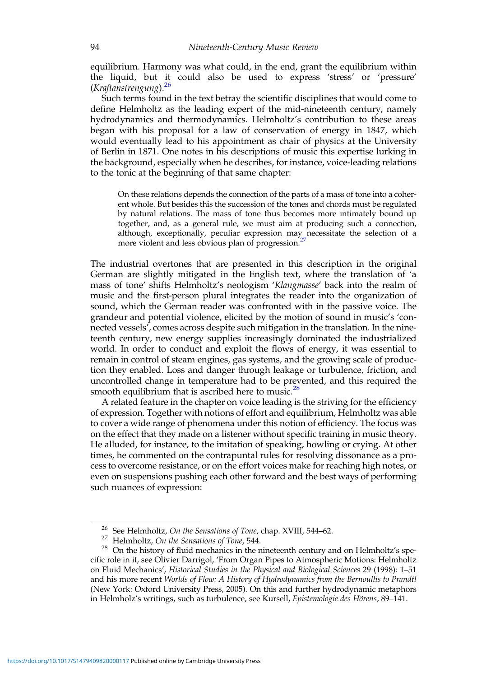equilibrium. Harmony was what could, in the end, grant the equilibrium within the liquid, but it could also be used to express 'stress' or 'pressure' (Kraftanstrengung). 26

Such terms found in the text betray the scientific disciplines that would come to define Helmholtz as the leading expert of the mid-nineteenth century, namely hydrodynamics and thermodynamics. Helmholtz's contribution to these areas began with his proposal for a law of conservation of energy in 1847, which would eventually lead to his appointment as chair of physics at the University of Berlin in 1871. One notes in his descriptions of music this expertise lurking in the background, especially when he describes, for instance, voice-leading relations to the tonic at the beginning of that same chapter:

On these relations depends the connection of the parts of a mass of tone into a coherent whole. But besides this the succession of the tones and chords must be regulated by natural relations. The mass of tone thus becomes more intimately bound up together, and, as a general rule, we must aim at producing such a connection, although, exceptionally, peculiar expression may necessitate the selection of a more violent and less obvious plan of progression.<sup>27</sup>

The industrial overtones that are presented in this description in the original German are slightly mitigated in the English text, where the translation of 'a mass of tone' shifts Helmholtz's neologism 'Klangmasse' back into the realm of music and the first-person plural integrates the reader into the organization of sound, which the German reader was confronted with in the passive voice. The grandeur and potential violence, elicited by the motion of sound in music's 'connected vessels', comes across despite such mitigation in the translation. In the nineteenth century, new energy supplies increasingly dominated the industrialized world. In order to conduct and exploit the flows of energy, it was essential to remain in control of steam engines, gas systems, and the growing scale of production they enabled. Loss and danger through leakage or turbulence, friction, and uncontrolled change in temperature had to be prevented, and this required the smooth equilibrium that is ascribed here to music. $^{28}$ 

A related feature in the chapter on voice leading is the striving for the efficiency of expression. Together with notions of effort and equilibrium, Helmholtz was able to cover a wide range of phenomena under this notion of efficiency. The focus was on the effect that they made on a listener without specific training in music theory. He alluded, for instance, to the imitation of speaking, howling or crying. At other times, he commented on the contrapuntal rules for resolving dissonance as a process to overcome resistance, or on the effort voices make for reaching high notes, or even on suspensions pushing each other forward and the best ways of performing such nuances of expression:

<sup>&</sup>lt;sup>26</sup> See Helmholtz, *On the Sensations of Tone*, chap. XVIII, 544–62.<br><sup>27</sup> Helmholtz, *On the Sensations of Tone*, 544.<br><sup>28</sup> On the history of fluid mechanics in the nineteenth century and on Helmholtz's specific role in it, see Olivier Darrigol, 'From Organ Pipes to Atmospheric Motions: Helmholtz on Fluid Mechanics', Historical Studies in the Physical and Biological Sciences 29 (1998): 1–51 and his more recent Worlds of Flow: A History of Hydrodynamics from the Bernoullis to Prandtl (New York: Oxford University Press, 2005). On this and further hydrodynamic metaphors in Helmholz's writings, such as turbulence, see Kursell, Epistemologie des Hörens, 89-141.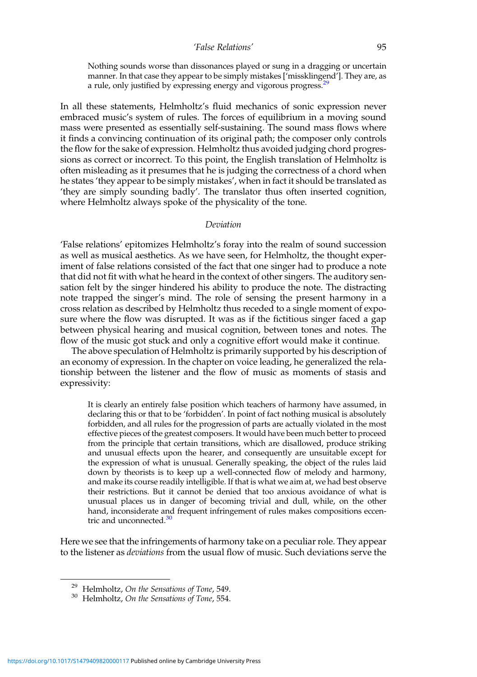#### 'False Relations' 95

Nothing sounds worse than dissonances played or sung in a dragging or uncertain manner. In that case they appear to be simply mistakes ['missklingend']. They are, as a rule, only justified by expressing energy and vigorous progress.<sup>29</sup>

In all these statements, Helmholtz's fluid mechanics of sonic expression never embraced music's system of rules. The forces of equilibrium in a moving sound mass were presented as essentially self-sustaining. The sound mass flows where it finds a convincing continuation of its original path; the composer only controls the flow for the sake of expression. Helmholtz thus avoided judging chord progressions as correct or incorrect. To this point, the English translation of Helmholtz is often misleading as it presumes that he is judging the correctness of a chord when he states 'they appear to be simply mistakes', when in fact it should be translated as 'they are simply sounding badly'. The translator thus often inserted cognition, where Helmholtz always spoke of the physicality of the tone.

#### Deviation

'False relations' epitomizes Helmholtz's foray into the realm of sound succession as well as musical aesthetics. As we have seen, for Helmholtz, the thought experiment of false relations consisted of the fact that one singer had to produce a note that did not fit with what he heard in the context of other singers. The auditory sensation felt by the singer hindered his ability to produce the note. The distracting note trapped the singer's mind. The role of sensing the present harmony in a cross relation as described by Helmholtz thus receded to a single moment of exposure where the flow was disrupted. It was as if the fictitious singer faced a gap between physical hearing and musical cognition, between tones and notes. The flow of the music got stuck and only a cognitive effort would make it continue.

The above speculation of Helmholtz is primarily supported by his description of an economy of expression. In the chapter on voice leading, he generalized the relationship between the listener and the flow of music as moments of stasis and expressivity:

It is clearly an entirely false position which teachers of harmony have assumed, in declaring this or that to be 'forbidden'. In point of fact nothing musical is absolutely forbidden, and all rules for the progression of parts are actually violated in the most effective pieces of the greatest composers. It would have been much better to proceed from the principle that certain transitions, which are disallowed, produce striking and unusual effects upon the hearer, and consequently are unsuitable except for the expression of what is unusual. Generally speaking, the object of the rules laid down by theorists is to keep up a well-connected flow of melody and harmony, and make its course readily intelligible. If that is what we aim at, we had best observe their restrictions. But it cannot be denied that too anxious avoidance of what is unusual places us in danger of becoming trivial and dull, while, on the other hand, inconsiderate and frequent infringement of rules makes compositions eccentric and unconnected. $30$ 

Here we see that the infringements of harmony take on a peculiar role. They appear to the listener as deviations from the usual flow of music. Such deviations serve the

<sup>&</sup>lt;sup>29</sup> Helmholtz, *On the Sensations of Tone*, 549.<br><sup>30</sup> Helmholtz, *On the Sensations of Tone*, 554.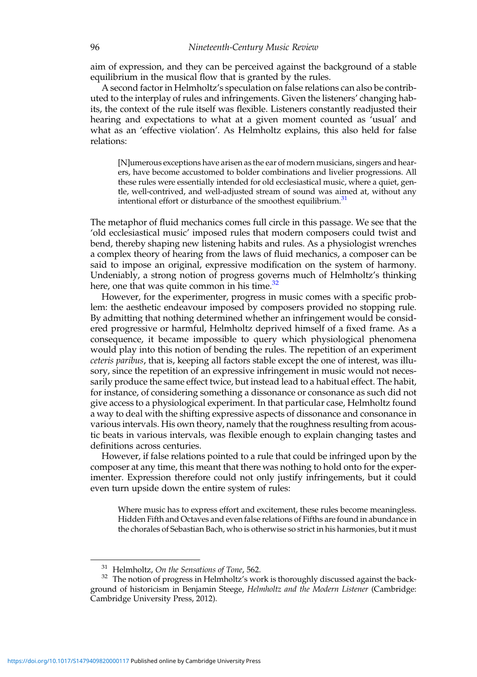aim of expression, and they can be perceived against the background of a stable equilibrium in the musical flow that is granted by the rules.

A second factor in Helmholtz's speculation on false relations can also be contributed to the interplay of rules and infringements. Given the listeners' changing habits, the context of the rule itself was flexible. Listeners constantly readjusted their hearing and expectations to what at a given moment counted as 'usual' and what as an 'effective violation'. As Helmholtz explains, this also held for false relations:

[N]umerous exceptions have arisen as the ear of modern musicians, singers and hearers, have become accustomed to bolder combinations and livelier progressions. All these rules were essentially intended for old ecclesiastical music, where a quiet, gentle, well-contrived, and well-adjusted stream of sound was aimed at, without any intentional effort or disturbance of the smoothest equilibrium.<sup>31</sup>

The metaphor of fluid mechanics comes full circle in this passage. We see that the 'old ecclesiastical music' imposed rules that modern composers could twist and bend, thereby shaping new listening habits and rules. As a physiologist wrenches a complex theory of hearing from the laws of fluid mechanics, a composer can be said to impose an original, expressive modification on the system of harmony. Undeniably, a strong notion of progress governs much of Helmholtz's thinking here, one that was quite common in his time.<sup>32</sup>

However, for the experimenter, progress in music comes with a specific problem: the aesthetic endeavour imposed by composers provided no stopping rule. By admitting that nothing determined whether an infringement would be considered progressive or harmful, Helmholtz deprived himself of a fixed frame. As a consequence, it became impossible to query which physiological phenomena would play into this notion of bending the rules. The repetition of an experiment ceteris paribus, that is, keeping all factors stable except the one of interest, was illusory, since the repetition of an expressive infringement in music would not necessarily produce the same effect twice, but instead lead to a habitual effect. The habit, for instance, of considering something a dissonance or consonance as such did not give access to a physiological experiment. In that particular case, Helmholtz found a way to deal with the shifting expressive aspects of dissonance and consonance in various intervals. His own theory, namely that the roughness resulting from acoustic beats in various intervals, was flexible enough to explain changing tastes and definitions across centuries.

However, if false relations pointed to a rule that could be infringed upon by the composer at any time, this meant that there was nothing to hold onto for the experimenter. Expression therefore could not only justify infringements, but it could even turn upside down the entire system of rules:

Where music has to express effort and excitement, these rules become meaningless. Hidden Fifth and Octaves and even false relations of Fifths are found in abundance in the chorales of Sebastian Bach, who is otherwise so strict in his harmonies, but it must

<sup>&</sup>lt;sup>31</sup> Helmholtz, *On the Sensations of Tone*, 562.<br><sup>32</sup> The notion of progress in Helmholtz's work is thoroughly discussed against the background of historicism in Benjamin Steege, Helmholtz and the Modern Listener (Cambridge: Cambridge University Press, 2012).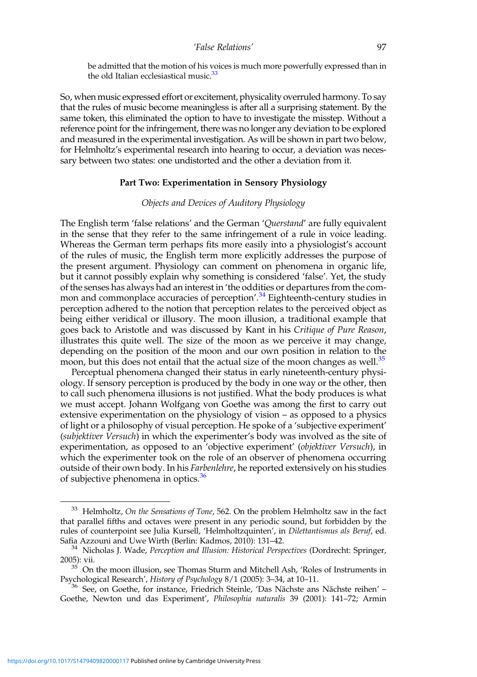be admitted that the motion of his voices is much more powerfully expressed than in the old Italian ecclesiastical music.<sup>33</sup>

So, when music expressed effort or excitement, physicality overruled harmony. To say that the rules of music become meaningless is after all a surprising statement. By the same token, this eliminated the option to have to investigate the misstep. Without a reference point for the infringement, there was no longer any deviation to be explored and measured in the experimental investigation. As will be shown in part two below, for Helmholtz's experimental research into hearing to occur, a deviation was necessary between two states: one undistorted and the other a deviation from it.

#### Part Two: Experimentation in Sensory Physiology

#### Objects and Devices of Auditory Physiology

The English term 'false relations' and the German 'Querstand' are fully equivalent in the sense that they refer to the same infringement of a rule in voice leading. Whereas the German term perhaps fits more easily into a physiologist's account of the rules of music, the English term more explicitly addresses the purpose of the present argument. Physiology can comment on phenomena in organic life, but it cannot possibly explain why something is considered 'false'. Yet, the study of the senses has always had an interest in 'the oddities or departures from the common and commonplace accuracies of perception'.<sup>34</sup> Eighteenth-century studies in perception adhered to the notion that perception relates to the perceived object as being either veridical or illusory. The moon illusion, a traditional example that goes back to Aristotle and was discussed by Kant in his Critique of Pure Reason, illustrates this quite well. The size of the moon as we perceive it may change, depending on the position of the moon and our own position in relation to the moon, but this does not entail that the actual size of the moon changes as well.<sup>35</sup>

Perceptual phenomena changed their status in early nineteenth-century physiology. If sensory perception is produced by the body in one way or the other, then to call such phenomena illusions is not justified. What the body produces is what we must accept. Johann Wolfgang von Goethe was among the first to carry out extensive experimentation on the physiology of vision – as opposed to a physics of light or a philosophy of visual perception. He spoke of a 'subjective experiment' (subjektiver Versuch) in which the experimenter's body was involved as the site of experimentation, as opposed to an 'objective experiment' (objektiver Versuch), in which the experimenter took on the role of an observer of phenomena occurring outside of their own body. In his Farbenlehre, he reported extensively on his studies of subjective phenomena in optics.<sup>36</sup>

 $33$  Helmholtz, On the Sensations of Tone, 562. On the problem Helmholtz saw in the fact that parallel fifths and octaves were present in any periodic sound, but forbidden by the rules of counterpoint see Julia Kursell, 'Helmholtzquinten', in Dilettantismus als Beruf, ed.

Safia Azzouni and Uwe Wirth (Berlin: Kadmos, 2010): 131–42.<br><sup>34</sup> Nicholas J. Wade, *Perception and Illusion: Historical Perspectives* (Dordrecht: Springer,

<sup>2005):</sup> vii.<br><sup>35</sup> On the moon illusion, see Thomas Sturm and Mitchell Ash, 'Roles of Instruments in Psychological Research', *History of Psychology* 8/1 (2005): 3–34, at 10–11.

 $^{36}$  See, on Goethe, for instance, Friedrich Steinle, 'Das Nächste ans Nächste reihen' – Goethe, Newton und das Experiment', Philosophia naturalis 39 (2001): 141–72; Armin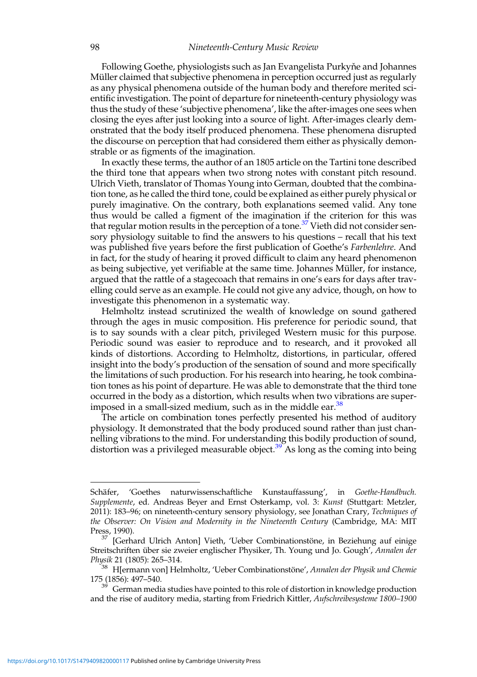Following Goethe, physiologists such as Jan Evangelista Purkyne and Johannes Müller claimed that subjective phenomena in perception occurred just as regularly as any physical phenomena outside of the human body and therefore merited scientific investigation. The point of departure for nineteenth-century physiology was thus the study of these 'subjective phenomena', like the after-images one sees when closing the eyes after just looking into a source of light. After-images clearly demonstrated that the body itself produced phenomena. These phenomena disrupted the discourse on perception that had considered them either as physically demonstrable or as figments of the imagination.

In exactly these terms, the author of an 1805 article on the Tartini tone described the third tone that appears when two strong notes with constant pitch resound. Ulrich Vieth, translator of Thomas Young into German, doubted that the combination tone, as he called the third tone, could be explained as either purely physical or purely imaginative. On the contrary, both explanations seemed valid. Any tone thus would be called a figment of the imagination if the criterion for this was that regular motion results in the perception of a tone.<sup>37</sup> Vieth did not consider sensory physiology suitable to find the answers to his questions – recall that his text was published five years before the first publication of Goethe's *Farbenlehre*. And in fact, for the study of hearing it proved difficult to claim any heard phenomenon as being subjective, yet verifiable at the same time. Johannes Müller, for instance, argued that the rattle of a stagecoach that remains in one's ears for days after travelling could serve as an example. He could not give any advice, though, on how to investigate this phenomenon in a systematic way.

Helmholtz instead scrutinized the wealth of knowledge on sound gathered through the ages in music composition. His preference for periodic sound, that is to say sounds with a clear pitch, privileged Western music for this purpose. Periodic sound was easier to reproduce and to research, and it provoked all kinds of distortions. According to Helmholtz, distortions, in particular, offered insight into the body's production of the sensation of sound and more specifically the limitations of such production. For his research into hearing, he took combination tones as his point of departure. He was able to demonstrate that the third tone occurred in the body as a distortion, which results when two vibrations are superimposed in a small-sized medium, such as in the middle ear.<sup>38</sup>

The article on combination tones perfectly presented his method of auditory physiology. It demonstrated that the body produced sound rather than just channelling vibrations to the mind. For understanding this bodily production of sound, distortion was a privileged measurable object.<sup>39</sup> As long as the coming into being

Schäfer, 'Goethes naturwissenschaftliche Kunstauffassung', in Goethe-Handbuch. Supplemente, ed. Andreas Beyer and Ernst Osterkamp, vol. 3: Kunst (Stuttgart: Metzler, 2011): 183–96; on nineteenth-century sensory physiology, see Jonathan Crary, Techniques of the Observer: On Vision and Modernity in the Nineteenth Century (Cambridge, MA: MIT Press, 1990).

<sup>[</sup>Gerhard Ulrich Anton] Vieth, 'Ueber Combinationstöne, in Beziehung auf einige Streitschriften über sie zweier englischer Physiker, Th. Young und Jo. Gough', Annalen der

Physik 21 (1805): 265–314. <sup>38</sup> H[ermann von] Helmholtz, 'Ueber Combinationstöne', Annalen der Physik und Chemie 175 (1856): 497–540.<br><sup>39</sup> German media studies have pointed to this role of distortion in knowledge production

and the rise of auditory media, starting from Friedrich Kittler, Aufschreibesysteme 1800-1900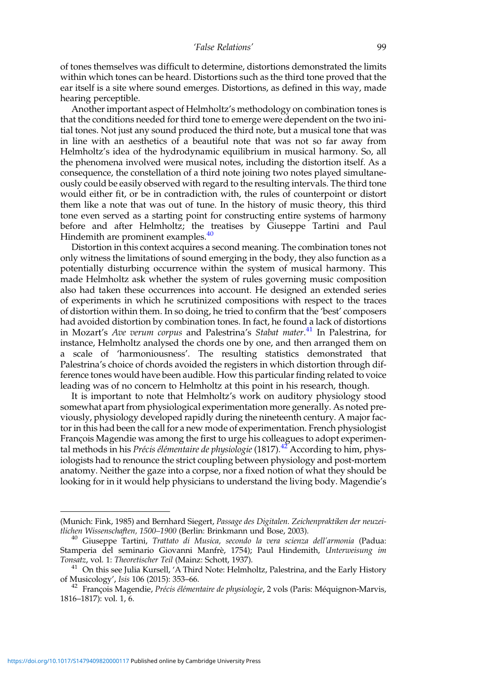of tones themselves was difficult to determine, distortions demonstrated the limits within which tones can be heard. Distortions such as the third tone proved that the ear itself is a site where sound emerges. Distortions, as defined in this way, made hearing perceptible.

Another important aspect of Helmholtz's methodology on combination tones is that the conditions needed for third tone to emerge were dependent on the two initial tones. Not just any sound produced the third note, but a musical tone that was in line with an aesthetics of a beautiful note that was not so far away from Helmholtz's idea of the hydrodynamic equilibrium in musical harmony. So, all the phenomena involved were musical notes, including the distortion itself. As a consequence, the constellation of a third note joining two notes played simultaneously could be easily observed with regard to the resulting intervals. The third tone would either fit, or be in contradiction with, the rules of counterpoint or distort them like a note that was out of tune. In the history of music theory, this third tone even served as a starting point for constructing entire systems of harmony before and after Helmholtz; the treatises by Giuseppe Tartini and Paul Hindemith are prominent examples.<sup>40</sup>

Distortion in this context acquires a second meaning. The combination tones not only witness the limitations of sound emerging in the body, they also function as a potentially disturbing occurrence within the system of musical harmony. This made Helmholtz ask whether the system of rules governing music composition also had taken these occurrences into account. He designed an extended series of experiments in which he scrutinized compositions with respect to the traces of distortion within them. In so doing, he tried to confirm that the 'best' composers had avoided distortion by combination tones. In fact, he found a lack of distortions in Mozart's Ave verum corpus and Palestrina's Stabat mater.<sup>41</sup> In Palestrina, for instance, Helmholtz analysed the chords one by one, and then arranged them on a scale of 'harmoniousness'. The resulting statistics demonstrated that Palestrina's choice of chords avoided the registers in which distortion through difference tones would have been audible. How this particular finding related to voice leading was of no concern to Helmholtz at this point in his research, though.

It is important to note that Helmholtz's work on auditory physiology stood somewhat apart from physiological experimentation more generally. As noted previously, physiology developed rapidly during the nineteenth century. A major factor in this had been the call for a new mode of experimentation. French physiologist François Magendie was among the first to urge his colleagues to adopt experimental methods in his *Précis élémentaire de physiologie* (1817).<sup>42</sup> According to him, physiologists had to renounce the strict coupling between physiology and post-mortem anatomy. Neither the gaze into a corpse, nor a fixed notion of what they should be looking for in it would help physicians to understand the living body. Magendie's

<sup>(</sup>Munich: Fink, 1985) and Bernhard Siegert, Passage des Digitalen. Zeichenpraktiken der neuzei-<br>tlichen Wissenschaften, 1500–1900 (Berlin: Brinkmann und Bose, 2003).

<sup>&</sup>lt;sup>40</sup> Giuseppe Tartini, Trattato di Musica, secondo la vera scienza dell'armonia (Padua: Stamperia del seminario Giovanni Manfrè, 1754); Paul Hindemith, Unterweisung im Tonsatz, vol. 1: Theoretischer Teil (Mainz: Schott, 1937).

 $141$  On this see Julia Kursell, 'A Third Note: Helmholtz, Palestrina, and the Early History of Musicology', *Isis* 106 (2015): 353–66.<br><sup>42</sup> François Magendie, *Précis élémentaire de physiologie*, 2 vols (Paris: Méquignon-Marvis,

<sup>1816</sup>–1817): vol. 1, 6.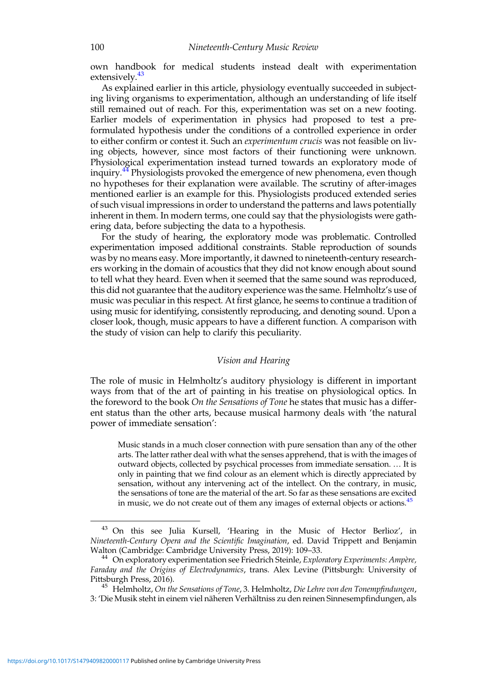own handbook for medical students instead dealt with experimentation extensively.<sup>43</sup>

As explained earlier in this article, physiology eventually succeeded in subjecting living organisms to experimentation, although an understanding of life itself still remained out of reach. For this, experimentation was set on a new footing. Earlier models of experimentation in physics had proposed to test a preformulated hypothesis under the conditions of a controlled experience in order to either confirm or contest it. Such an *experimentum crucis* was not feasible on living objects, however, since most factors of their functioning were unknown. Physiological experimentation instead turned towards an exploratory mode of inquiry.<sup>44</sup> Physiologists provoked the emergence of new phenomena, even though no hypotheses for their explanation were available. The scrutiny of after-images mentioned earlier is an example for this. Physiologists produced extended series of such visual impressions in order to understand the patterns and laws potentially inherent in them. In modern terms, one could say that the physiologists were gathering data, before subjecting the data to a hypothesis.

For the study of hearing, the exploratory mode was problematic. Controlled experimentation imposed additional constraints. Stable reproduction of sounds was by no means easy. More importantly, it dawned to nineteenth-century researchers working in the domain of acoustics that they did not know enough about sound to tell what they heard. Even when it seemed that the same sound was reproduced, this did not guarantee that the auditory experience was the same. Helmholtz's use of music was peculiar in this respect. At first glance, he seems to continue a tradition of using music for identifying, consistently reproducing, and denoting sound. Upon a closer look, though, music appears to have a different function. A comparison with the study of vision can help to clarify this peculiarity.

#### Vision and Hearing

The role of music in Helmholtz's auditory physiology is different in important ways from that of the art of painting in his treatise on physiological optics. In the foreword to the book On the Sensations of Tone he states that music has a different status than the other arts, because musical harmony deals with 'the natural power of immediate sensation':

Music stands in a much closer connection with pure sensation than any of the other arts. The latter rather deal with what the senses apprehend, that is with the images of outward objects, collected by psychical processes from immediate sensation. … It is only in painting that we find colour as an element which is directly appreciated by sensation, without any intervening act of the intellect. On the contrary, in music, the sensations of tone are the material of the art. So far as these sensations are excited in music, we do not create out of them any images of external objects or actions.<sup>45</sup>

<sup>43</sup> On this see Julia Kursell, 'Hearing in the Music of Hector Berlioz', in Nineteenth-Century Opera and the Scientific Imagination, ed. David Trippett and Benjamin Walton (Cambridge: Cambridge University Press, 2019): 109-33.

<sup>&</sup>lt;sup>44</sup> On exploratory experimentation see Friedrich Steinle, Exploratory Experiments: Ampère, Faraday and the Origins of Electrodynamics, trans. Alex Levine (Pittsburgh: University of Pittsburgh Press, 2016).<br><sup>45</sup> Helmholtz, On the Sensations of Tone, 3. Helmholtz, Die Lehre von den Tonempfindungen,

<sup>3:</sup> 'Die Musik steht in einem viel näheren Verhältniss zu den reinen Sinnesempfindungen, als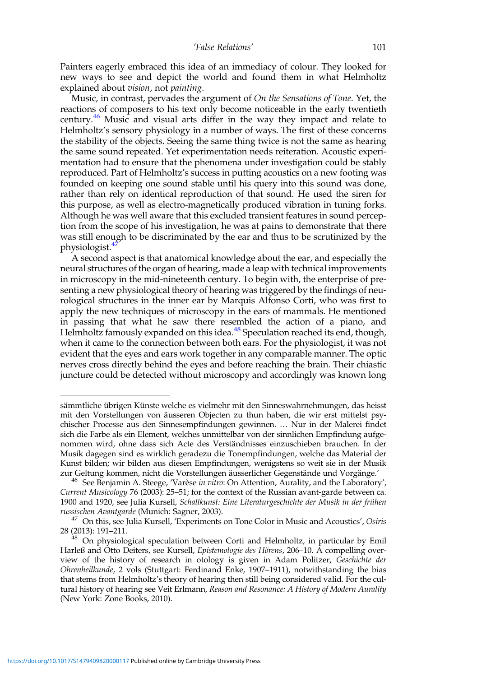Painters eagerly embraced this idea of an immediacy of colour. They looked for new ways to see and depict the world and found them in what Helmholtz explained about vision, not painting.

Music, in contrast, pervades the argument of On the Sensations of Tone. Yet, the reactions of composers to his text only become noticeable in the early twentieth century.<sup>46</sup> Music and visual arts differ in the way they impact and relate to Helmholtz's sensory physiology in a number of ways. The first of these concerns the stability of the objects. Seeing the same thing twice is not the same as hearing the same sound repeated. Yet experimentation needs reiteration. Acoustic experimentation had to ensure that the phenomena under investigation could be stably reproduced. Part of Helmholtz's success in putting acoustics on a new footing was founded on keeping one sound stable until his query into this sound was done, rather than rely on identical reproduction of that sound. He used the siren for this purpose, as well as electro-magnetically produced vibration in tuning forks. Although he was well aware that this excluded transient features in sound perception from the scope of his investigation, he was at pains to demonstrate that there was still enough to be discriminated by the ear and thus to be scrutinized by the physiologist.<sup>47</sup>

A second aspect is that anatomical knowledge about the ear, and especially the neural structures of the organ of hearing, made a leap with technical improvements in microscopy in the mid-nineteenth century. To begin with, the enterprise of presenting a new physiological theory of hearing was triggered by the findings of neurological structures in the inner ear by Marquis Alfonso Corti, who was first to apply the new techniques of microscopy in the ears of mammals. He mentioned in passing that what he saw there resembled the action of a piano, and Helmholtz famously expanded on this idea.<sup>48</sup> Speculation reached its end, though, when it came to the connection between both ears. For the physiologist, it was not evident that the eyes and ears work together in any comparable manner. The optic nerves cross directly behind the eyes and before reaching the brain. Their chiastic juncture could be detected without microscopy and accordingly was known long

sämmtliche übrigen Künste welche es vielmehr mit den Sinneswahrnehmungen, das heisst mit den Vorstellungen von äusseren Objecten zu thun haben, die wir erst mittelst psychischer Processe aus den Sinnesempfindungen gewinnen. … Nur in der Malerei findet sich die Farbe als ein Element, welches unmittelbar von der sinnlichen Empfindung aufgenommen wird, ohne dass sich Acte des Verständnisses einzuschieben brauchen. In der Musik dagegen sind es wirklich geradezu die Tonempfindungen, welche das Material der Kunst bilden; wir bilden aus diesen Empfindungen, wenigstens so weit sie in der Musik zur Geltung kommen, nicht die Vorstellungen äusserlicher Gegenstände und Vorgänge.

 $^{46}$  See Benjamin A. Steege, 'Varèse in vitro: On Attention, Aurality, and the Laboratory', Current Musicology 76 (2003): 25–51; for the context of the Russian avant-garde between ca. 1900 and 1920, see Julia Kursell, Schallkunst: Eine Literaturgeschichte der Musik in der frühen

russischen *Avantgarde* (Munich: Sagner, 2003).<br><sup>47</sup> On this, see Julia Kursell, 'Experiments on Tone Color in Music and Acoustics', Osiris<br>28 (2013): 191–211.

<sup>&</sup>lt;sup>48</sup> On physiological speculation between Corti and Helmholtz, in particular by Emil Harleß and Otto Deiters, see Kursell, Epistemologie des Hörens, 206–10. A compelling overview of the history of research in otology is given in Adam Politzer, Geschichte der Ohrenheilkunde, 2 vols (Stuttgart: Ferdinand Enke, 1907–1911), notwithstanding the bias that stems from Helmholtz's theory of hearing then still being considered valid. For the cultural history of hearing see Veit Erlmann, Reason and Resonance: A History of Modern Aurality (New York: Zone Books, 2010).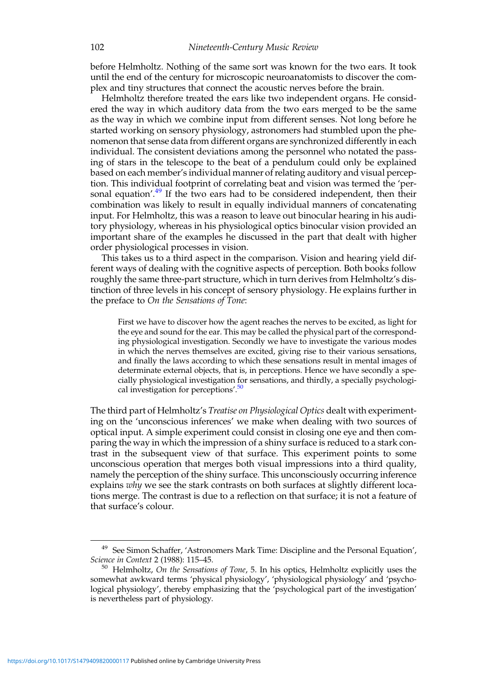before Helmholtz. Nothing of the same sort was known for the two ears. It took until the end of the century for microscopic neuroanatomists to discover the complex and tiny structures that connect the acoustic nerves before the brain.

Helmholtz therefore treated the ears like two independent organs. He considered the way in which auditory data from the two ears merged to be the same as the way in which we combine input from different senses. Not long before he started working on sensory physiology, astronomers had stumbled upon the phenomenon that sense data from different organs are synchronized differently in each individual. The consistent deviations among the personnel who notated the passing of stars in the telescope to the beat of a pendulum could only be explained based on each member's individual manner of relating auditory and visual perception. This individual footprint of correlating beat and vision was termed the 'personal equation'.<sup>49</sup> If the two ears had to be considered independent, then their combination was likely to result in equally individual manners of concatenating input. For Helmholtz, this was a reason to leave out binocular hearing in his auditory physiology, whereas in his physiological optics binocular vision provided an important share of the examples he discussed in the part that dealt with higher order physiological processes in vision.

This takes us to a third aspect in the comparison. Vision and hearing yield different ways of dealing with the cognitive aspects of perception. Both books follow roughly the same three-part structure, which in turn derives from Helmholtz's distinction of three levels in his concept of sensory physiology. He explains further in the preface to On the Sensations of Tone:

First we have to discover how the agent reaches the nerves to be excited, as light for the eye and sound for the ear. This may be called the physical part of the corresponding physiological investigation. Secondly we have to investigate the various modes in which the nerves themselves are excited, giving rise to their various sensations, and finally the laws according to which these sensations result in mental images of determinate external objects, that is, in perceptions. Hence we have secondly a specially physiological investigation for sensations, and thirdly, a specially psychological investigation for perceptions'.<sup>50</sup>

The third part of Helmholtz's Treatise on Physiological Optics dealt with experimenting on the 'unconscious inferences' we make when dealing with two sources of optical input. A simple experiment could consist in closing one eye and then comparing the way in which the impression of a shiny surface is reduced to a stark contrast in the subsequent view of that surface. This experiment points to some unconscious operation that merges both visual impressions into a third quality, namely the perception of the shiny surface. This unconsciously occurring inference explains why we see the stark contrasts on both surfaces at slightly different locations merge. The contrast is due to a reflection on that surface; it is not a feature of that surface's colour.

<sup>&</sup>lt;sup>49</sup> See Simon Schaffer, 'Astronomers Mark Time: Discipline and the Personal Equation', Science in Context 2 (1988): 115–45.

 $50$  Helmholtz, On the Sensations of Tone, 5. In his optics, Helmholtz explicitly uses the somewhat awkward terms 'physical physiology', 'physiological physiology' and 'psychological physiology', thereby emphasizing that the 'psychological part of the investigation' is nevertheless part of physiology.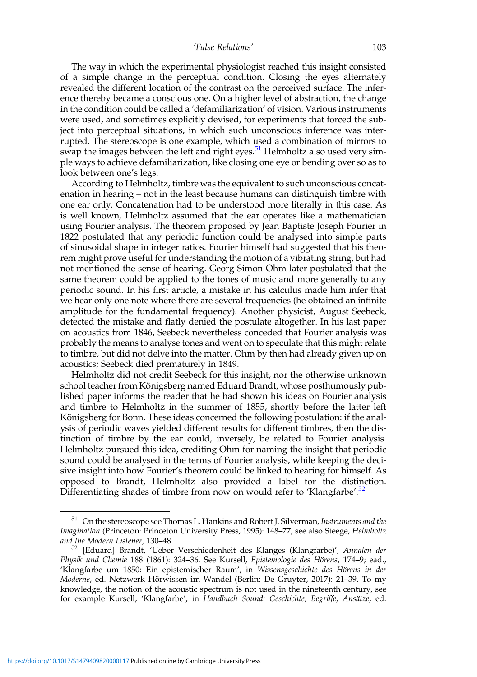The way in which the experimental physiologist reached this insight consisted of a simple change in the perceptual condition. Closing the eyes alternately revealed the different location of the contrast on the perceived surface. The inference thereby became a conscious one. On a higher level of abstraction, the change in the condition could be called a 'defamiliarization' of vision. Various instruments were used, and sometimes explicitly devised, for experiments that forced the subject into perceptual situations, in which such unconscious inference was interrupted. The stereoscope is one example, which used a combination of mirrors to swap the images between the left and right eyes.<sup>51</sup> Helmholtz also used very simple ways to achieve defamiliarization, like closing one eye or bending over so as to look between one's legs.

According to Helmholtz, timbre was the equivalent to such unconscious concatenation in hearing – not in the least because humans can distinguish timbre with one ear only. Concatenation had to be understood more literally in this case. As is well known, Helmholtz assumed that the ear operates like a mathematician using Fourier analysis. The theorem proposed by Jean Baptiste Joseph Fourier in 1822 postulated that any periodic function could be analysed into simple parts of sinusoidal shape in integer ratios. Fourier himself had suggested that his theorem might prove useful for understanding the motion of a vibrating string, but had not mentioned the sense of hearing. Georg Simon Ohm later postulated that the same theorem could be applied to the tones of music and more generally to any periodic sound. In his first article, a mistake in his calculus made him infer that we hear only one note where there are several frequencies (he obtained an infinite amplitude for the fundamental frequency). Another physicist, August Seebeck, detected the mistake and flatly denied the postulate altogether. In his last paper on acoustics from 1846, Seebeck nevertheless conceded that Fourier analysis was probably the means to analyse tones and went on to speculate that this might relate to timbre, but did not delve into the matter. Ohm by then had already given up on acoustics; Seebeck died prematurely in 1849.

Helmholtz did not credit Seebeck for this insight, nor the otherwise unknown school teacher from Königsberg named Eduard Brandt, whose posthumously published paper informs the reader that he had shown his ideas on Fourier analysis and timbre to Helmholtz in the summer of 1855, shortly before the latter left Königsberg for Bonn. These ideas concerned the following postulation: if the analysis of periodic waves yielded different results for different timbres, then the distinction of timbre by the ear could, inversely, be related to Fourier analysis. Helmholtz pursued this idea, crediting Ohm for naming the insight that periodic sound could be analysed in the terms of Fourier analysis, while keeping the decisive insight into how Fourier's theorem could be linked to hearing for himself. As opposed to Brandt, Helmholtz also provided a label for the distinction. Differentiating shades of timbre from now on would refer to 'Klangfarbe'.<sup>52</sup>

 $51$  On the stereoscope see Thomas L. Hankins and Robert J. Silverman, Instruments and the Imagination (Princeton: Princeton University Press, 1995): 148–77; see also Steege, Helmholtz and the Modern Listener, 130–48.<br><sup>52</sup> [Eduard] Brandt, 'Ueber Verschiedenheit des Klanges (Klangfarbe)', Annalen der

Physik und Chemie 188 (1861): 324–36. See Kursell, Epistemologie des Hörens, 174–9; ead., 'Klangfarbe um 1850: Ein epistemischer Raum', in Wissensgeschichte des Hörens in der Moderne, ed. Netzwerk Hörwissen im Wandel (Berlin: De Gruyter, 2017): 21–39. To my knowledge, the notion of the acoustic spectrum is not used in the nineteenth century, see for example Kursell, 'Klangfarbe', in Handbuch Sound: Geschichte, Begriffe, Ansätze, ed.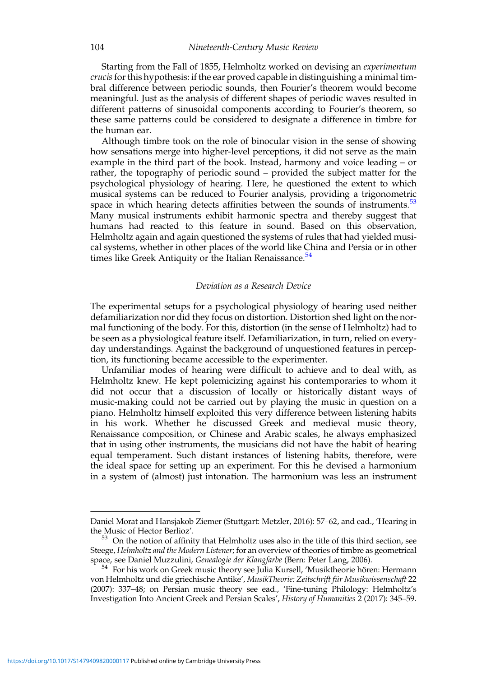Starting from the Fall of 1855, Helmholtz worked on devising an experimentum crucis for this hypothesis: if the ear proved capable in distinguishing a minimal timbral difference between periodic sounds, then Fourier's theorem would become meaningful. Just as the analysis of different shapes of periodic waves resulted in different patterns of sinusoidal components according to Fourier's theorem, so these same patterns could be considered to designate a difference in timbre for the human ear.

Although timbre took on the role of binocular vision in the sense of showing how sensations merge into higher-level perceptions, it did not serve as the main example in the third part of the book. Instead, harmony and voice leading – or rather, the topography of periodic sound – provided the subject matter for the psychological physiology of hearing. Here, he questioned the extent to which musical systems can be reduced to Fourier analysis, providing a trigonometric space in which hearing detects affinities between the sounds of instruments. $53$ Many musical instruments exhibit harmonic spectra and thereby suggest that humans had reacted to this feature in sound. Based on this observation, Helmholtz again and again questioned the systems of rules that had yielded musical systems, whether in other places of the world like China and Persia or in other times like Greek Antiquity or the Italian Renaissance.<sup>54</sup>

#### Deviation as a Research Device

The experimental setups for a psychological physiology of hearing used neither defamiliarization nor did they focus on distortion. Distortion shed light on the normal functioning of the body. For this, distortion (in the sense of Helmholtz) had to be seen as a physiological feature itself. Defamiliarization, in turn, relied on everyday understandings. Against the background of unquestioned features in perception, its functioning became accessible to the experimenter.

Unfamiliar modes of hearing were difficult to achieve and to deal with, as Helmholtz knew. He kept polemicizing against his contemporaries to whom it did not occur that a discussion of locally or historically distant ways of music-making could not be carried out by playing the music in question on a piano. Helmholtz himself exploited this very difference between listening habits in his work. Whether he discussed Greek and medieval music theory, Renaissance composition, or Chinese and Arabic scales, he always emphasized that in using other instruments, the musicians did not have the habit of hearing equal temperament. Such distant instances of listening habits, therefore, were the ideal space for setting up an experiment. For this he devised a harmonium in a system of (almost) just intonation. The harmonium was less an instrument

Daniel Morat and Hansjakob Ziemer (Stuttgart: Metzler, 2016): 57–62, and ead., 'Hearing in

 $53$  On the notion of affinity that Helmholtz uses also in the title of this third section, see Steege, Helmholtz and the Modern Listener; for an overview of theories of timbre as geometrical space, see Daniel Muzzulini, Genealogie der Klangfarbe (Bern: Peter Lang, 2006).

<sup>&</sup>lt;sup>54</sup> For his work on Greek music theory see Julia Kursell, 'Musiktheorie hören: Hermann von Helmholtz und die griechische Antike', MusikTheorie: Zeitschrift für Musikwissenschaft 22 (2007): 337–48; on Persian music theory see ead., 'Fine-tuning Philology: Helmholtz's Investigation Into Ancient Greek and Persian Scales', History of Humanities 2 (2017): 345–59.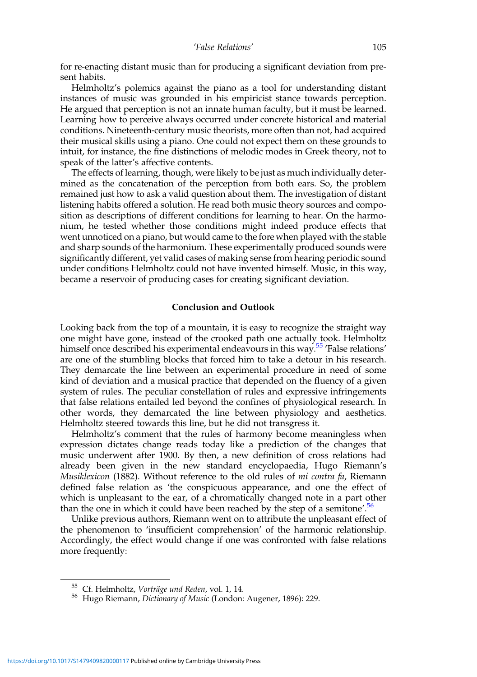for re-enacting distant music than for producing a significant deviation from present habits.

Helmholtz's polemics against the piano as a tool for understanding distant instances of music was grounded in his empiricist stance towards perception. He argued that perception is not an innate human faculty, but it must be learned. Learning how to perceive always occurred under concrete historical and material conditions. Nineteenth-century music theorists, more often than not, had acquired their musical skills using a piano. One could not expect them on these grounds to intuit, for instance, the fine distinctions of melodic modes in Greek theory, not to speak of the latter's affective contents.

The effects of learning, though, were likely to be just as much individually determined as the concatenation of the perception from both ears. So, the problem remained just how to ask a valid question about them. The investigation of distant listening habits offered a solution. He read both music theory sources and composition as descriptions of different conditions for learning to hear. On the harmonium, he tested whether those conditions might indeed produce effects that went unnoticed on a piano, but would came to the fore when played with the stable and sharp sounds of the harmonium. These experimentally produced sounds were significantly different, yet valid cases of making sense from hearing periodic sound under conditions Helmholtz could not have invented himself. Music, in this way, became a reservoir of producing cases for creating significant deviation.

#### Conclusion and Outlook

Looking back from the top of a mountain, it is easy to recognize the straight way one might have gone, instead of the crooked path one actually took. Helmholtz himself once described his experimental endeavours in this way.<sup>55</sup> 'False relations' are one of the stumbling blocks that forced him to take a detour in his research. They demarcate the line between an experimental procedure in need of some kind of deviation and a musical practice that depended on the fluency of a given system of rules. The peculiar constellation of rules and expressive infringements that false relations entailed led beyond the confines of physiological research. In other words, they demarcated the line between physiology and aesthetics. Helmholtz steered towards this line, but he did not transgress it.

Helmholtz's comment that the rules of harmony become meaningless when expression dictates change reads today like a prediction of the changes that music underwent after 1900. By then, a new definition of cross relations had already been given in the new standard encyclopaedia, Hugo Riemann's Musiklexicon (1882). Without reference to the old rules of *mi contra fa*, Riemann defined false relation as 'the conspicuous appearance, and one the effect of which is unpleasant to the ear, of a chromatically changed note in a part other than the one in which it could have been reached by the step of a semitone'.<sup>56</sup>

Unlike previous authors, Riemann went on to attribute the unpleasant effect of the phenomenon to 'insufficient comprehension' of the harmonic relationship. Accordingly, the effect would change if one was confronted with false relations more frequently:

<sup>&</sup>lt;sup>55</sup> Cf. Helmholtz, *Vorträge und Reden*, vol. 1, 14.<br><sup>56</sup> Hugo Riemann, *Dictionary of Music* (London: Augener, 1896): 229.